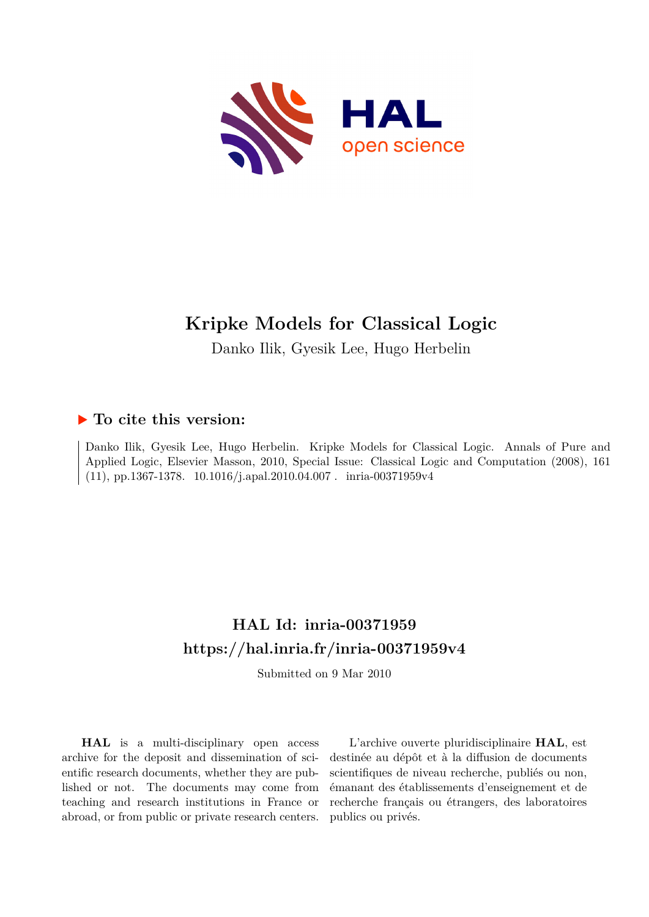

# **Kripke Models for Classical Logic**

Danko Ilik, Gyesik Lee, Hugo Herbelin

## **To cite this version:**

Danko Ilik, Gyesik Lee, Hugo Herbelin. Kripke Models for Classical Logic. Annals of Pure and Applied Logic, Elsevier Masson, 2010, Special Issue: Classical Logic and Computation (2008), 161 (11), pp.1367-1378.  $10.1016$ /j.apal.2010.04.007 . inria-00371959v4

## **HAL Id: inria-00371959 <https://hal.inria.fr/inria-00371959v4>**

Submitted on 9 Mar 2010

**HAL** is a multi-disciplinary open access archive for the deposit and dissemination of scientific research documents, whether they are published or not. The documents may come from teaching and research institutions in France or abroad, or from public or private research centers.

L'archive ouverte pluridisciplinaire **HAL**, est destinée au dépôt et à la diffusion de documents scientifiques de niveau recherche, publiés ou non, émanant des établissements d'enseignement et de recherche français ou étrangers, des laboratoires publics ou privés.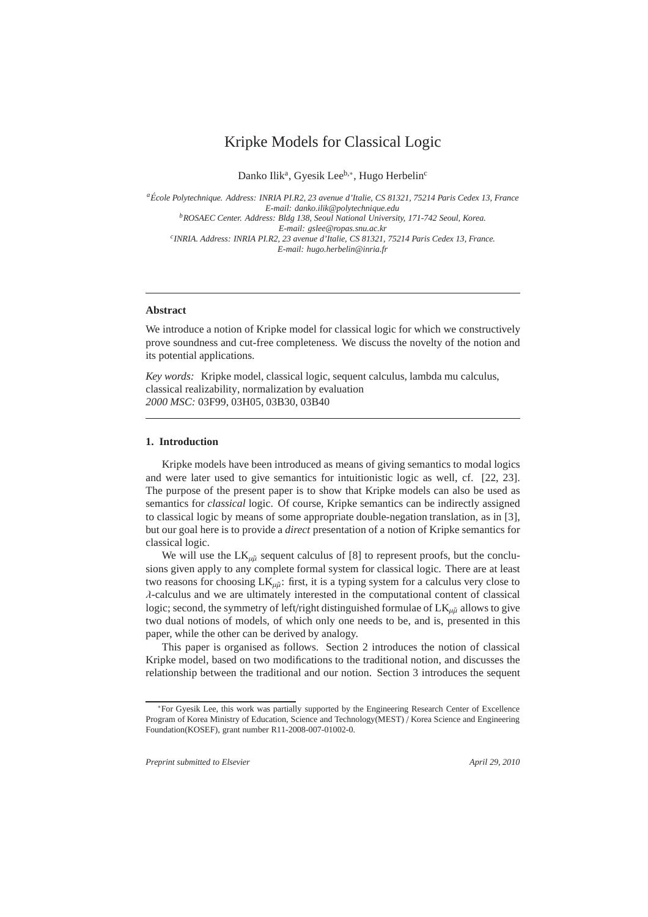## Kripke Models for Classical Logic

Danko Ilik<sup>a</sup>, Gyesik Lee<sup>b,\*</sup>, Hugo Herbelin<sup>c</sup>

*<sup>a</sup>Ecole Polytechnique. Address: INRIA PI.R2, 23 avenue d'Ita ´ lie, CS 81321, 75214 Paris Cedex 13, France E-mail: danko.ilik@polytechnique.edu <sup>b</sup>ROSAEC Center. Address: Bldg 138, Seoul National University, 171-742 Seoul, Korea. E-mail: gslee@ropas.snu.ac.kr c INRIA. Address: INRIA PI.R2, 23 avenue d'Italie, CS 81321, 75214 Paris Cedex 13, France. E-mail: hugo.herbelin@inria.fr*

## **Abstract**

We introduce a notion of Kripke model for classical logic for which we constructively prove soundness and cut-free completeness. We discuss the novelty of the notion and its potential applications.

*Key words:* Kripke model, classical logic, sequent calculus, lambda mu calculus, classical realizability, normalization by evaluation *2000 MSC:* 03F99, 03H05, 03B30, 03B40

#### **1. Introduction**

Kripke models have been introduced as means of giving semantics to modal logics and were later used to give semantics for intuitionistic logic as well, cf. [22, 23]. The purpose of the present paper is to show that Kripke models can also be used as semantics for *classical* logic. Of course, Kripke semantics can be indirectly assigned to classical logic by means of some appropriate double-negation translation, as in [3], but our goal here is to provide a *direct* presentation of a notion of Kripke semantics for classical logic.

We will use the  $LK_{\mu\tilde{\mu}}$  sequent calculus of [8] to represent proofs, but the conclusions given apply to any complete formal system for classical logic. There are at least two reasons for choosing  $LK_{\mu\tilde{\mu}}$ : first, it is a typing system for a calculus very close to  $\lambda$ -calculus and we are ultimately interested in the computational content of classical logic; second, the symmetry of left/right distinguished formulae of  $LK_{\mu\tilde{\mu}}$  allows to give two dual notions of models, of which only one needs to be, and is, presented in this paper, while the other can be derived by analogy.

This paper is organised as follows. Section 2 introduces the notion of classical Kripke model, based on two modifications to the traditional notion, and discusses the relationship between the traditional and our notion. Section 3 introduces the sequent

*Preprint submitted to Elsevier April 29, 2010*

<sup>∗</sup>For Gyesik Lee, this work was partially supported by the Engineering Research Center of Excellence Program of Korea Ministry of Education, Science and Technology(MEST) / Korea Science and Engineering Foundation(KOSEF), grant number R11-2008-007-01002-0.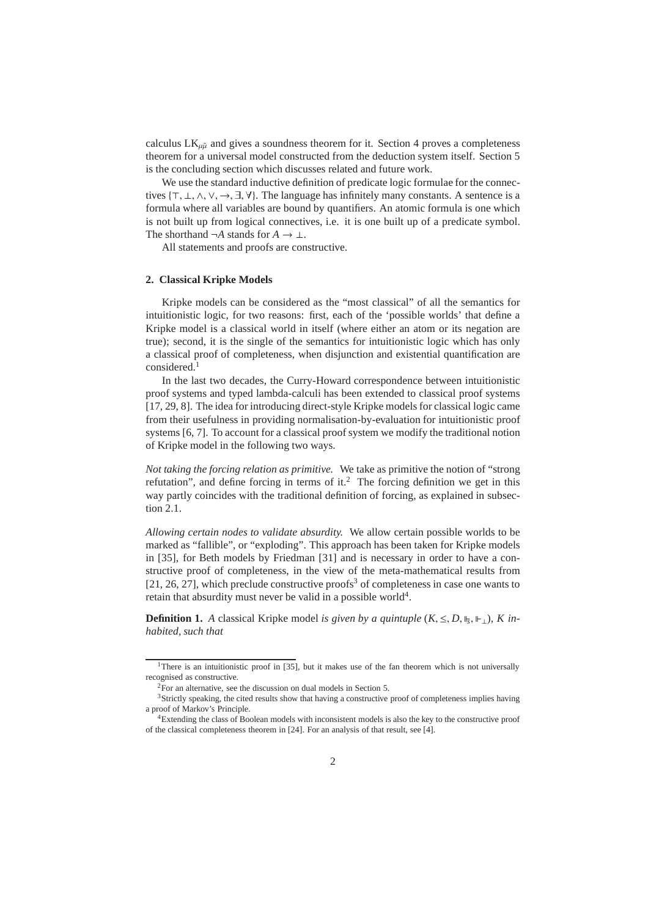calculus  $LK_{\mu\tilde{\mu}}$  and gives a soundness theorem for it. Section 4 proves a completeness theorem for a universal model constructed from the deduction system itself. Section 5 is the concluding section which discusses related and future work.

We use the standard inductive definition of predicate logic formulae for the connectives {⊤, ⊥, ∧, ∨, →, ∃, ∀}. The language has infinitely many constants. A sentence is a formula where all variables are bound by quantifiers. An atomic formula is one which is not built up from logical connectives, i.e. it is one built up of a predicate symbol. The shorthand  $\neg A$  stands for  $A \to \bot$ .

All statements and proofs are constructive.

#### **2. Classical Kripke Models**

Kripke models can be considered as the "most classical" of all the semantics for intuitionistic logic, for two reasons: first, each of the 'possible worlds' that define a Kripke model is a classical world in itself (where either an atom or its negation are true); second, it is the single of the semantics for intuitionistic logic which has only a classical proof of completeness, when disjunction and existential quantification are considered.<sup>1</sup>

In the last two decades, the Curry-Howard correspondence between intuitionistic proof systems and typed lambda-calculi has been extended to classical proof systems [17, 29, 8]. The idea for introducing direct-style Kripke models for classical logic came from their usefulness in providing normalisation-by-evaluation for intuitionistic proof systems [6, 7]. To account for a classical proof system we modify the traditional notion of Kripke model in the following two ways.

*Not taking the forcing relation as primitive.* We take as primitive the notion of "strong refutation", and define forcing in terms of it. $2$  The forcing definition we get in this way partly coincides with the traditional definition of forcing, as explained in subsection 2.1.

*Allowing certain nodes to validate absurdity.* We allow certain possible worlds to be marked as "fallible", or "exploding". This approach has been taken for Kripke models in [35], for Beth models by Friedman [31] and is necessary in order to have a constructive proof of completeness, in the view of the meta-mathematical results from  $[21, 26, 27]$ , which preclude constructive proofs<sup>3</sup> of completeness in case one wants to retain that absurdity must never be valid in a possible world $4$ .

**Definition 1.** *A* classical Kripke model *is given by a quintuple*  $(K, \leq, D, \mathbb{I}_5, \mathbb{I}_{\geq})$ *, K inhabited, such that*

<sup>&</sup>lt;sup>1</sup>There is an intuitionistic proof in [35], but it makes use of the fan theorem which is not universally recognised as constructive.

<sup>2</sup>For an alternative, see the discussion on dual models in Section 5.

<sup>&</sup>lt;sup>3</sup>Strictly speaking, the cited results show that having a constructive proof of completeness implies having a proof of Markov's Principle.

<sup>4</sup>Extending the class of Boolean models with inconsistent models is also the key to the constructive proof of the classical completeness theorem in [24]. For an analysis of that result, see [4].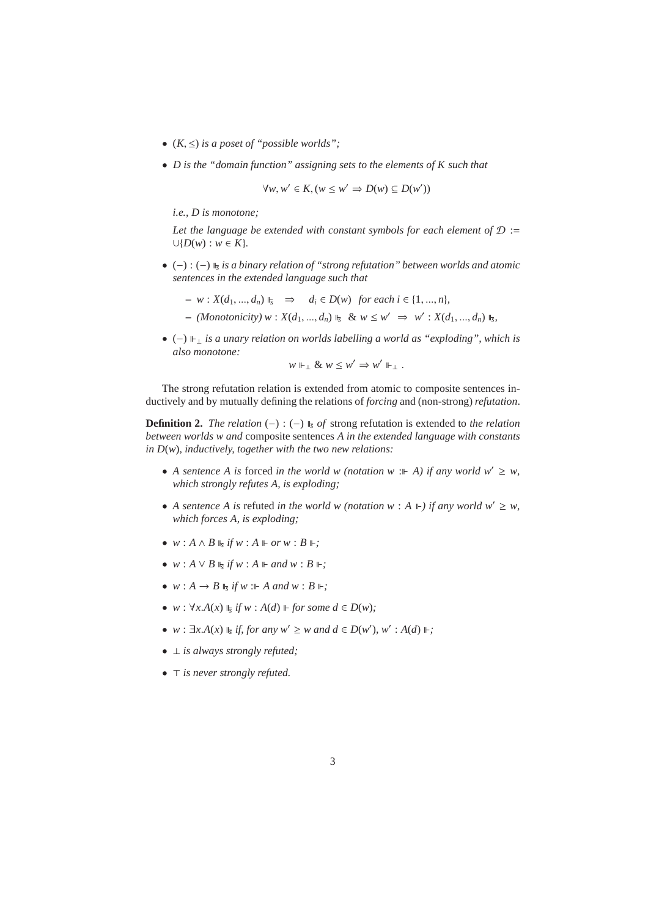- $(K, \leq)$  *is a poset of "possible worlds"*;
- *D is the "domain function" assigning sets to the elements of K such that*

 $\forall w, w' \in K, (w \leq w' \Rightarrow D(w) \subseteq D(w'))$ 

*i.e., D is monotone;*

*Let the language be extended with constant symbols for each element of* D := ∪{*D*(*w*) : *w* ∈ *K*}*.*

- (−) : (−) *<sup>s</sup> is a binary relation of "strong refutation" between worlds and atomic sentences in the extended language such that*
	- $w : X(d_1, ..., d_n) \rvert_{\mathfrak{s}} \implies d_i \in D(w)$  *for each i* ∈ {1, ..., *n*}*,*
	- $-$  *(Monotonicity)*  $w: X(d_1, ..., d_n) \Vdash_{\mathcal{S}} \& w \leq w' \Rightarrow w': X(d_1, ..., d_n) \Vdash_{\mathcal{S}}$
- (−) <sup>⊥</sup> *is a unary relation on worlds labelling a world as "exploding", which is also monotone:*

$$
w \Vdash_{\perp} \& w \leq w' \Rightarrow w' \Vdash_{\perp}.
$$

The strong refutation relation is extended from atomic to composite sentences inductively and by mutually defining the relations of *forcing* and (non-strong) *refutation*.

**Definition 2.** *The relation* (−) : (−)  $\mathbb{F}_{\bar{s}}$  *of* strong refutation is extended to *the relation between worlds w and* composite sentences *A in the extended language with constants in D*(*w*)*, inductively, together with the two new relations:*

- A sentence A is forced in the world w (notation w : $\vdash$  A) if any world w'  $\geq w$ , *which strongly refutes A, is exploding;*
- *A sentence A is refuted in the world w (notation w : A*  $\Vdash$ ) *if any world w'*  $\geq w$ , *which forces A, is exploding;*
- $w: A \wedge B \Vdash_{\mathfrak{s}} if w: A \Vdash or w: B \Vdash;$
- $w : A \vee B \Vdash_{\mathcal{S}} \mathit{if} w : A \Vdash and w : B \Vdash;$
- $w : A \rightarrow B \Vdash_{\overline{s}} if w : A \text{ and } w : B \Vdash;$
- $\bullet$  *w* :  $\forall x.A(x) \Vdash_{\mathcal{S}} \textit{if } w : A(d) \Vdash \textit{for some } d \in D(w);$
- *w* :  $\exists x.A(x) \Vdash_{\mathcal{S}} \textit{if, for any } w' \geq w \textit{ and } d \in D(w'), w' : A(d) \Vdash;$
- ⊥ *is always strongly refuted;*
- ⊤ *is never strongly refuted.*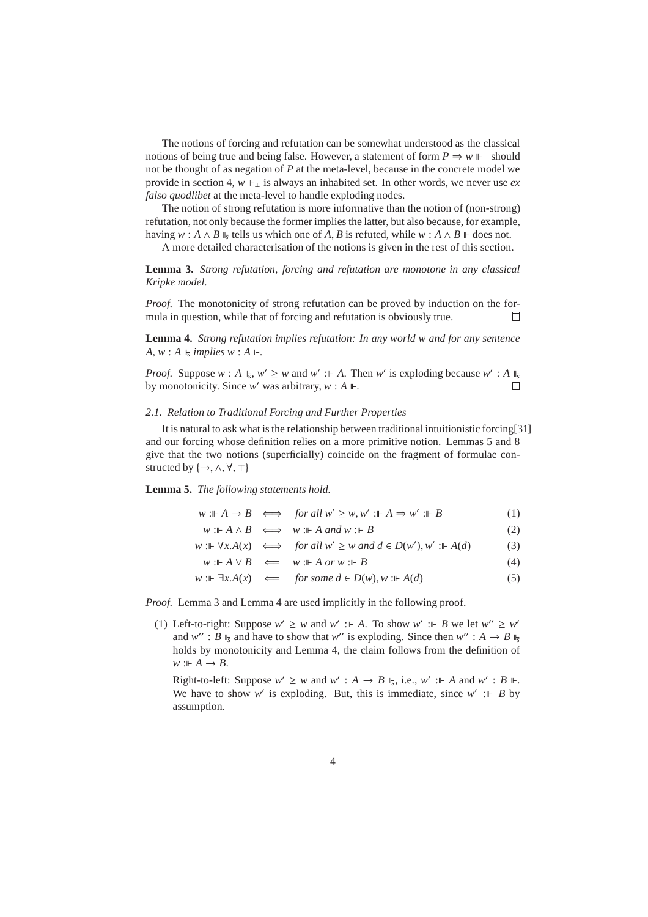The notions of forcing and refutation can be somewhat understood as the classical notions of being true and being false. However, a statement of form  $P \Rightarrow w \Vdash_{\perp}$  should not be thought of as negation of *P* at the meta-level, because in the concrete model we provide in section 4,  $w \Vdash_{\perp}$  is always an inhabited set. In other words, we never use *ex falso quodlibet* at the meta-level to handle exploding nodes.

The notion of strong refutation is more informative than the notion of (non-strong) refutation, not only because the former implies the latter, but also because, for example, having  $w : A \wedge B$   $\Vdash_{S}$  tells us which one of *A*, *B* is refuted, while  $w : A \wedge B \Vdash$  does not.

A more detailed characterisation of the notions is given in the rest of this section.

**Lemma 3.** *Strong refutation, forcing and refutation are monotone in any classical Kripke model.*

*Proof.* The monotonicity of strong refutation can be proved by induction on the formula in question, while that of forcing and refutation is obviously true.  $\Box$ 

**Lemma 4.** *Strong refutation implies refutation: In any world w and for any sentence*  $A, w: A \Vdash$  *implies*  $w: A \Vdash$ .

*Proof.* Suppose  $w : A \rvert_{\mathcal{F}}$ ,  $w' \geq w$  and  $w' : A$ . Then  $w'$  is exploding because  $w' : A \rvert_{\mathcal{F}}$ by monotonicity. Since  $w'$  was arbitrary,  $w : A \Vdash$ .  $\Box$ 

## *2.1. Relation to Traditional Forcing and Further Properties*

It is natural to ask what is the relationship between traditional intuitionistic forcing[31] and our forcing whose definition relies on a more primitive notion. Lemmas 5 and 8 give that the two notions (superficially) coincide on the fragment of formulae constructed by  $\{\rightarrow, \wedge, \forall, \top\}$ 

## **Lemma 5.** *The following statements hold.*

 $w: \mathbb{A} \to B \iff \text{for all } w' \geq w, w' : \mathbb{A} \Rightarrow w' : \mathbb{B}$  (1)

 $w: A \wedge B$  ⇔  $w: A$  *and*  $w: B$  (2)

*w* :*⊩*  $\forall x.A(x)$  ⇔ *for all w'* ≥ *w and d* ∈ *D*(*w'*), *w'* :*⊩ A*(*d*) (3)

$$
w: \mathbb{A} \vee B \iff w: \mathbb{A} \text{ or } w: \mathbb{B} \tag{4}
$$

$$
w: \mathbb{H} \exists x. A(x) \iff for some d \in D(w), w: \mathbb{H} \land (d)
$$
 (5)

*Proof.* Lemma 3 and Lemma 4 are used implicitly in the following proof.

(1) Left-to-right: Suppose  $w' \geq w$  and  $w' := A$ . To show  $w' := B$  we let  $w'' \geq w'$ and  $w''$ : *B*  $\parallel_{\overline{s}}$  and have to show that  $w''$  is exploding. Since then  $w''$ :  $A \rightarrow B \parallel_{\overline{s}}$ holds by monotonicity and Lemma 4, the claim follows from the definition of  $w : A \rightarrow B$ .

Right-to-left: Suppose  $w' \ge w$  and  $w' : A \to B \rightharpoonup$ <sub>5</sub>, i.e.,  $w' : A \to A$  and  $w' : B \rightharpoonup$ . We have to show w' is exploding. But, this is immediate, since  $w'$  : *B* by assumption.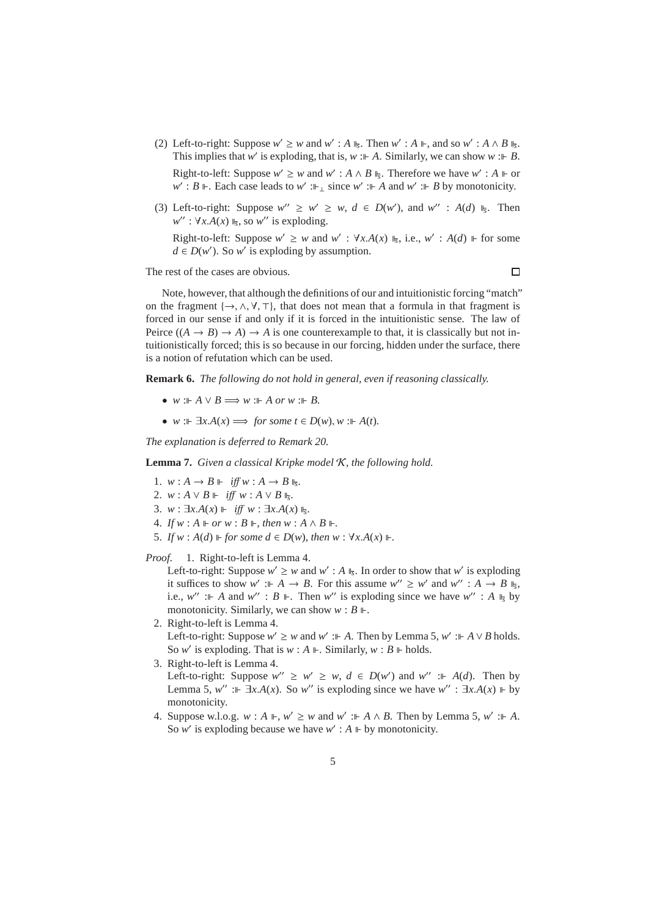(2) Left-to-right: Suppose  $w' \ge w$  and  $w' : A \Vdash_{\mathcal{F}}$ . Then  $w' : A \Vdash$ , and so  $w' : A \wedge B \Vdash_{\mathcal{F}}$ . This implies that *w'* is exploding, that is, *w* :  $\Vdash A$ . Similarly, we can show *w* :  $\Vdash B$ .

Right-to-left: Suppose  $w' \geq w$  and  $w' : A \wedge B \Vdash_{S}$ . Therefore we have  $w' : A \Vdash$  or  $w'$ : *B* ⊩. Each case leads to  $w'$  :⊩<sub>⊥</sub> since  $w'$  :⊩ *A* and  $w'$  :⊩ *B* by monotonicity.

(3) Left-to-right: Suppose  $w'' \geq w' \geq w$ ,  $d \in D(w')$ , and  $w''$ :  $A(d)$   $\mathbb{I}_5$ . Then  $w''$  :  $\forall x.A(x) \Vdash_{\mathcal{F}} s$  so *w'* is exploding.

Right-to-left: Suppose  $w' \geq w$  and  $w'$ :  $\forall x.A(x) \Vdash_{\mathcal{F}}$ , i.e.,  $w'$ :  $A(d) \Vdash$  for some  $d \in D(w')$ . So *w*<sup>*'*</sup> is exploding by assumption.

The rest of the cases are obvious.

 $\Box$ 

Note, however, that although the definitions of our and intuitionistic forcing "match" on the fragment  $\{\rightarrow, \wedge, \forall, \top\}$ , that does not mean that a formula in that fragment is forced in our sense if and only if it is forced in the intuitionistic sense. The law of Peirce  $((A \rightarrow B) \rightarrow A) \rightarrow A$  is one counterexample to that, it is classically but not intuitionistically forced; this is so because in our forcing, hidden under the surface, there is a notion of refutation which can be used.

**Remark 6.** *The following do not hold in general, even if reasoning classically.*

- $w : A \vee B \Longrightarrow w : A \text{ or } w : B.$
- *w* :  $\mathbb{F}$   $\exists x.A(x) \Longrightarrow$  *for some t*  $\in$  *D*(*w*), *w* :  $\mathbb{F}$  *A*(*t*).

*The explanation is deferred to Remark 20.*

**Lemma 7.** *Given a classical Kripke model* K*, the following hold.*

- 1.  $w: A \rightarrow B \Vdash \text{iff } w: A \rightarrow B \Vdash_{\overline{s}}.$
- 2. *w* : *A* ∨ *B*  $\Vdash$  *iff w* : *A* ∨ *B*  $\Vdash$ *s*</sub>.
- 3. *w* :  $\exists x.A(x) \Vdash \textit{iff } w : \exists x.A(x) \Vdash_{\bar{s}}.$
- 4. *If*  $w : A \models or w : B \models$ , *then*  $w : A \land B \models$ .
- 5. If  $w : A(d) \Vdash$  for some  $d \in D(w)$ , then  $w : \forall x.A(x) \Vdash$ .

*Proof.* 1. Right-to-left is Lemma 4.

Left-to-right: Suppose  $w' \geq w$  and  $w'$ : *A*  $\mathbb{I}_5$ . In order to show that  $w'$  is exploding it suffices to show  $w' : A \to B$ . For this assume  $w'' \geq w'$  and  $w'' : A \to B$   $\mathbb{F}_5$ , i.e.,  $w''$  : *A* and  $w''$  : *B*  $\Vdash$ . Then *w*<sup>*''*</sup> is exploding since we have  $w''$  : *A*  $\Vdash_{\mathcal{F}}$  by monotonicity. Similarly, we can show  $w : B \Vdash$ .

- 2. Right-to-left is Lemma 4. Left-to-right: Suppose  $w' \geq w$  and  $w'$  :⊩ *A*. Then by Lemma 5,  $w'$  :⊩ *A* ∨ *B* holds. So *w'* is exploding. That is  $w : A \Vdash$ . Similarly,  $w : B \Vdash$  holds.
- 3. Right-to-left is Lemma 4. Left-to-right: Suppose  $w'' \geq w' \geq w$ ,  $d \in D(w')$  and  $w'' := A(d)$ . Then by Lemma 5, *w*<sup>*''*</sup> :⊩ ∃*x*.*A*(*x*). So *w*<sup>*''*</sup> is exploding since we have *w*<sup>*''*</sup> : ∃*x*.*A*(*x*) ⊩ by monotonicity.
- 4. Suppose w.l.o.g.  $w : A \Vdash, w' \geq w$  and  $w' : A \wedge B$ . Then by Lemma 5,  $w' : A$ . So *w'* is exploding because we have  $w'$ :  $A \vDash$  by monotonicity.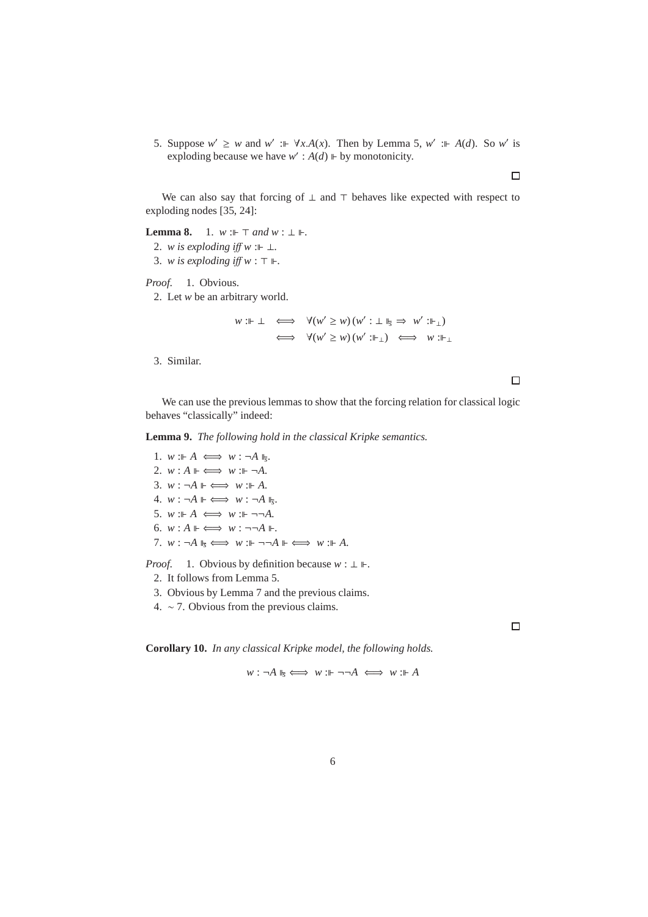5. Suppose  $w' \geq w$  and  $w' := \forall x.A(x)$ . Then by Lemma 5,  $w' := A(d)$ . So w' is exploding because we have  $w'$ :  $A(d)$   $\Vdash$  by monotonicity.

We can also say that forcing of  $\perp$  and  $\top$  behaves like expected with respect to exploding nodes [35, 24]:

**Lemma 8.** 1.  $w := \top$  *and*  $w : \bot \Vdash$ .

2. *w is exploding iff w* : $\vdash \bot$ .

3. *w is exploding i*ff *w* : ⊤ *.*

*Proof.* 1. Obvious.

2. Let *w* be an arbitrary world.

$$
w: \Vdash \bot \iff \forall (w' \ge w) (w' : \bot \Vdash_{\mathbb{F}} \Rightarrow w' : \Vdash_{\bot})
$$
  

$$
\iff \forall (w' \ge w) (w' : \Vdash_{\bot}) \iff w : \Vdash_{\bot}
$$

3. Similar.

 $\Box$ 

 $\Box$ 

 $\Box$ 

We can use the previous lemmas to show that the forcing relation for classical logic behaves "classically" indeed:

**Lemma 9.** *The following hold in the classical Kripke semantics.*

1.  $w : A \iff w : \neg A \Vdash_{\overline{s}}$ . 2.  $w : A \Vdash \iff w : \Vdash \neg A$ . 3.  $w : \neg A \Vdash \iff w : \Vdash A$ . 4.  $w : \neg A \Vdash \iff w : \neg A \Vdash_{\overline{s}}$ . 5.  $w : A \iff w : F \dashrightarrow A$ . 6.  $w: A \Vdash \iff w: \neg\neg A \Vdash$ . 7.  $w : \neg A \Vdash_{\mathsf{S}} \Longleftrightarrow w : \Vdash \neg \neg A \Vdash \Longleftrightarrow w : \Vdash A$ .

*Proof.* 1. Obvious by definition because  $w : \bot \Vdash$ .

- 2. It follows from Lemma 5.
- 3. Obvious by Lemma 7 and the previous claims.
- 4. ∼ 7. Obvious from the previous claims.

**Corollary 10.** *In any classical Kripke model, the following holds.*

 $w : \neg A \Vdash_{\mathsf{S}} \Longleftrightarrow w : \Vdash \neg \neg A \iff w : \Vdash A$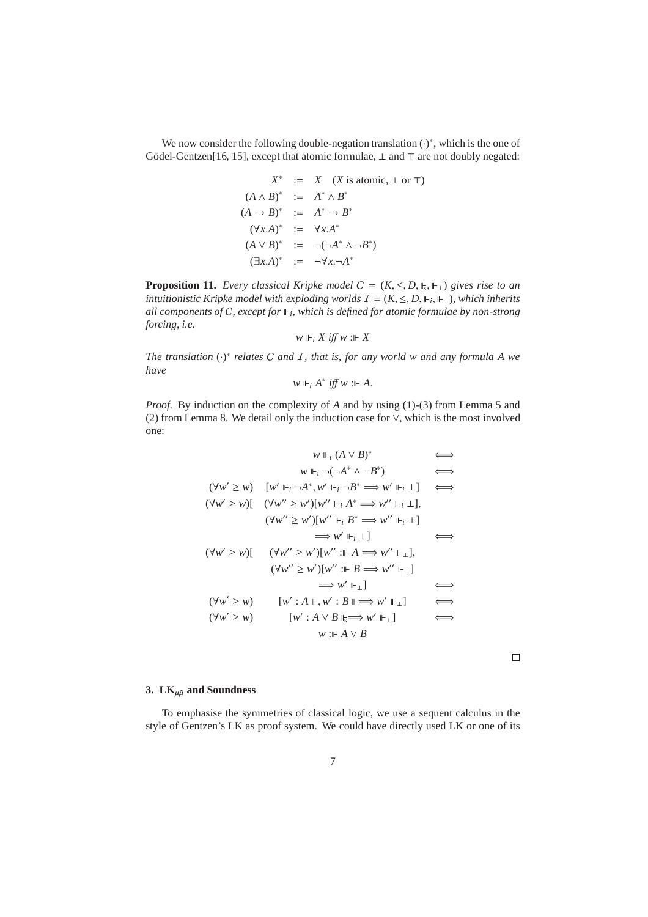We now consider the following double-negation translation  $(\cdot)^*$ , which is the one of Gödel-Gentzen[16, 15], except that atomic formulae, ⊥ and ⊤ are not doubly negated:

$$
X^* := X \quad (X \text{ is atomic}, \perp \text{ or } \top)
$$
  
\n
$$
(A \land B)^* := A^* \land B^*
$$
  
\n
$$
(A \rightarrow B)^* := A^* \rightarrow B^*
$$
  
\n
$$
(\forall x.A)^* := \forall x.A^*
$$
  
\n
$$
(A \lor B)^* := \neg(\neg A^* \land \neg B^*)
$$
  
\n
$$
(\exists x.A)^* := \neg \forall x.\neg A^*
$$

**Proposition 11.** *Every classical Kripke model*  $C = (K, \leq, D, \mathbb{I}_5, \mathbb{I}_1)$  *gives rise to an intuitionistic Kripke model with exploding worlds*  $I = (K, \leq, D, \Vdash_i, \Vdash_i)$ , which inherits *all components of* C*, except for <sup>i</sup> , which is defined for atomic formulae by non-strong forcing, i.e.*

$$
w\Vdash_i X\mathit{iff}\;w:\Vdash X
$$

*The translation* (·) ∗ *relates* C *and* I*, that is, for any world w and any formula A we have*

$$
w\Vdash_i A^* \textit{iff } w::\Vdash A.
$$

*Proof.* By induction on the complexity of *A* and by using (1)-(3) from Lemma 5 and (2) from Lemma 8. We detail only the induction case for ∨, which is the most involved one:

$$
w \Vdash_i (A \vee B)^* \iff
$$
  
\n
$$
w \Vdash_i \neg(\neg A^* \wedge \neg B^*) \iff
$$
  
\n
$$
(\forall w' \ge w) \quad [w' \Vdash_i \neg A^*, w' \Vdash_i \neg B^* \implies w' \Vdash_i \bot] \iff
$$
  
\n
$$
(\forall w'' \ge w)[ (\forall w'' \ge w')[w''' \Vdash_i A^* \implies w'' \Vdash_i \bot],
$$
  
\n
$$
(\forall w'' \ge w')[w''' \Vdash_i B^* \implies w'' \Vdash_i \bot]
$$
  
\n
$$
\implies w' \Vdash_i \bot]
$$
  
\n
$$
(\forall w'' \ge w)[ (\forall w'' \ge w')[w'': \Vdash A \implies w'' \Vdash_\bot],
$$
  
\n
$$
(\forall w'' \ge w')[w'': \Vdash B \implies w'' \Vdash_\bot]
$$
  
\n
$$
(\forall w' \ge w) \qquad [w': A \Vdash, w': B \Vdash \implies w' \Vdash_\bot ] \iff
$$
  
\n
$$
(\forall w' \ge w) \qquad [w': A \vee B \Vdash_{\exists} \implies w' \Vdash_\bot ] \iff
$$
  
\n
$$
w : \Vdash A \vee B
$$

## **3.** LK $_{\mu\tilde{\mu}}$  and Soundness

To emphasise the symmetries of classical logic, we use a sequent calculus in the style of Gentzen's LK as proof system. We could have directly used LK or one of its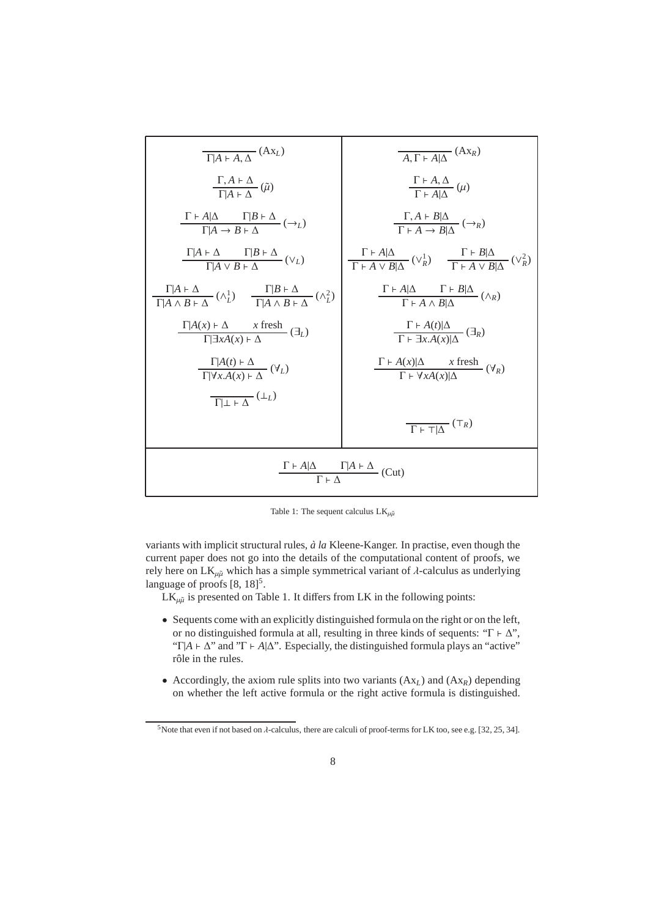

Table 1: The sequent calculus  $LK_{\mu\tilde{\mu}}$ 

variants with implicit structural rules,  $\dot{a}$  la Kleene-Kanger. In practise, even though the current paper does not go into the details of the computational content of proofs, we rely here on  $LK_{\mu\tilde{\mu}}$  which has a simple symmetrical variant of  $\lambda$ -calculus as underlying language of proofs [8, 18]<sup>5</sup>.

 $LK_{\mu\tilde{\mu}}$  is presented on Table 1. It differs from LK in the following points:

- Sequents come with an explicitly distinguished formula on the right or on the left, or no distinguished formula at all, resulting in three kinds of sequents: "Γ  $\vdash \Delta$ ", "Γ| $A \vdash \Delta$ " and "Γ  $\vdash A|\Delta$ ". Especially, the distinguished formula plays an "active" rôle in the rules.
- Accordingly, the axiom rule splits into two variants  $(Ax_L)$  and  $(Ax_R)$  depending on whether the left active formula or the right active formula is distinguished.

<sup>&</sup>lt;sup>5</sup>Note that even if not based on  $\lambda$ -calculus, there are calculi of proof-terms for LK too, see e.g. [32, 25, 34].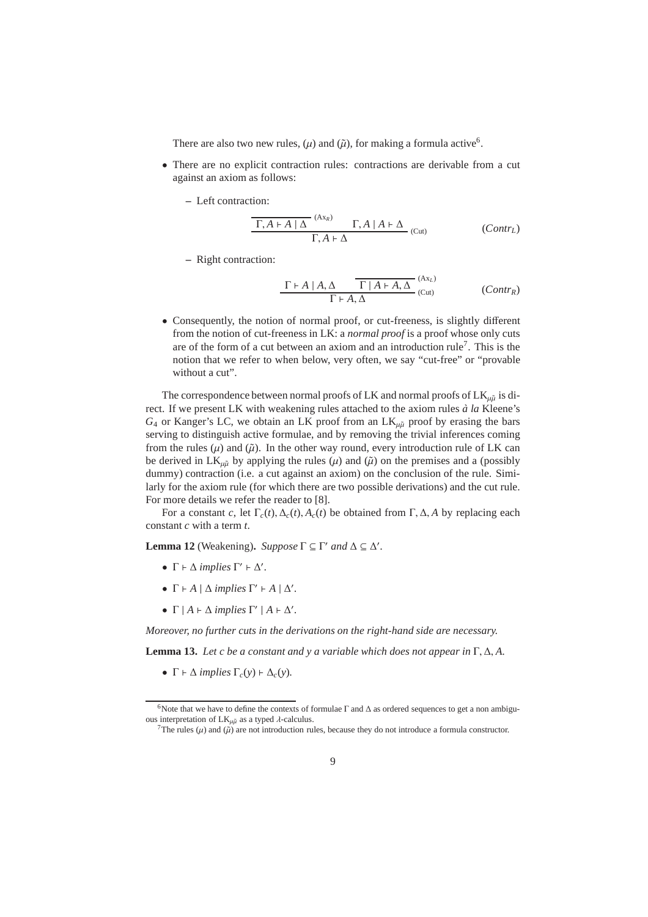There are also two new rules,  $(\mu)$  and  $(\tilde{\mu})$ , for making a formula active<sup>6</sup>.

- There are no explicit contraction rules: contractions are derivable from a cut against an axiom as follows:
	- **–** Left contraction:

$$
\frac{\Gamma, A \vdash A \mid \Delta \quad ^{(Ax_R)} \quad \Gamma, A \mid A \vdash \Delta}{\Gamma, A \vdash \Delta} \quad ^{(Cut)} \tag{Contr_L}
$$

**–** Right contraction:

$$
\frac{\Gamma \vdash A \mid A, \Delta \qquad \Gamma \mid A \vdash A, \Delta}{\Gamma \vdash A, \Delta} \xrightarrow{\text{(Ax)} } (\text{Cut})
$$
 (Contr)

• Consequently, the notion of normal proof, or cut-freeness, is slightly different from the notion of cut-freeness in LK: a *normal proof* is a proof whose only cuts are of the form of a cut between an axiom and an introduction rule<sup>7</sup>. This is the notion that we refer to when below, very often, we say "cut-free" or "provable without a cut".

The correspondence between normal proofs of LK and normal proofs of  $LK_{\mu\tilde{\mu}}$  is direct. If we present LK with weakening rules attached to the axiom rules  $\dot{a}$  la Kleene's  $G_4$  or Kanger's LC, we obtain an LK proof from an  $LK_{\mu\tilde{\mu}}$  proof by erasing the bars serving to distinguish active formulae, and by removing the trivial inferences coming from the rules  $(\mu)$  and  $(\tilde{\mu})$ . In the other way round, every introduction rule of LK can be derived in  $LK_{\mu\tilde{u}}$  by applying the rules ( $\mu$ ) and ( $\tilde{\mu}$ ) on the premises and a (possibly dummy) contraction (i.e. a cut against an axiom) on the conclusion of the rule. Similarly for the axiom rule (for which there are two possible derivations) and the cut rule. For more details we refer the reader to [8].

For a constant *c*, let Γ*c*(*t*), ∆*c*(*t*), *Ac*(*t*) be obtained from Γ, ∆, *A* by replacing each constant *c* with a term *t*.

**Lemma 12** (Weakening). *Suppose*  $\Gamma \subseteq \Gamma'$  *and*  $\Delta \subseteq \Delta'$ .

- $\Gamma \vdash \Delta$  *implies*  $\Gamma' \vdash \Delta'$ .
- $\Gamma$   $\vdash$  *A*  $\mid$   $\Delta$  *implies*  $\Gamma'$   $\vdash$  *A*  $\mid$   $\Delta'$ *.*
- $\Gamma$  |  $A \vdash \Delta$  *implies*  $\Gamma'$  |  $A \vdash \Delta'$ .

*Moreover, no further cuts in the derivations on the right-hand side are necessary.*

**Lemma 13.** *Let c be a constant and y a variable which does not appear in* Γ, ∆, *A.*

•  $\Gamma \vdash \Delta$  *implies*  $\Gamma_c(y) \vdash \Delta_c(y)$ *.* 

<sup>&</sup>lt;sup>6</sup>Note that we have to define the contexts of formulae  $\Gamma$  and  $\Delta$  as ordered sequences to get a non ambiguous interpretation of  $LK_{\mu\tilde{\mu}}$  as a typed  $\lambda$ -calculus.

<sup>&</sup>lt;sup>7</sup>The rules ( $\mu$ ) and ( $\tilde{\mu}$ ) are not introduction rules, because they do not introduce a formula constructor.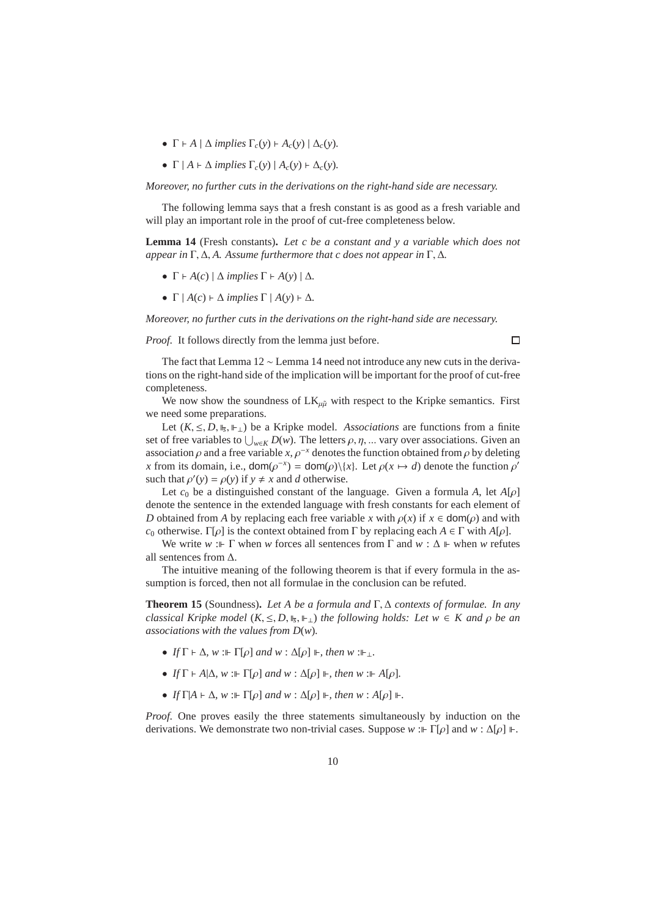- $\Gamma \vdash A \mid \Delta$  *implies*  $\Gamma_c(\gamma) \vdash A_c(\gamma) \mid \Delta_c(\gamma)$ .
- $\Gamma$  |  $A \vdash \Delta$  *implies*  $\Gamma_c(v)$  |  $A_c(v) \vdash \Delta_c(v)$ .

*Moreover, no further cuts in the derivations on the right-hand side are necessary.*

The following lemma says that a fresh constant is as good as a fresh variable and will play an important role in the proof of cut-free completeness below.

**Lemma 14** (Fresh constants)**.** *Let c be a constant and y a variable which does not appear in* Γ, ∆, *A. Assume furthermore that c does not appear in* Γ, ∆*.*

- $\Gamma$   $\vdash$  *A*(*c*) |  $\Delta$  *implies*  $\Gamma$   $\vdash$  *A*(*y*) |  $\Delta$ *.*
- $\Gamma$  |  $A(c)$  ⊢  $\Delta$  *implies*  $\Gamma$  |  $A(y)$  ⊢  $\Delta$ *.*

*Moreover, no further cuts in the derivations on the right-hand side are necessary.*

*Proof.* It follows directly from the lemma just before.

 $\Box$ 

The fact that Lemma 12 ∼ Lemma 14 need not introduce any new cuts in the derivations on the right-hand side of the implication will be important for the proof of cut-free completeness.

We now show the soundness of  $LK_{\mu\tilde{\mu}}$  with respect to the Kripke semantics. First we need some preparations.

Let  $(K, \leq, D, \mathbb{I}_{\overline{S}}, \mathbb{I}_{\perp})$  be a Kripke model. *Associations* are functions from a finite set of free variables to  $\bigcup_{w \in K} D(w)$ . The letters  $\rho, \eta, \ldots$  vary over associations. Given an association  $\rho$  and a free variable  $x, \rho^{-x}$  denotes the function obtained from  $\rho$  by deleting *x* from its domain, i.e.,  $\text{dom}(\rho^{-x}) = \text{dom}(\rho) \setminus \{x\}$ . Let  $\rho(x \mapsto d)$  denote the function  $\rho'$ such that  $\rho'(y) = \rho(y)$  if  $y \neq x$  and *d* otherwise.

Let  $c_0$  be a distinguished constant of the language. Given a formula *A*, let  $A[\rho]$ denote the sentence in the extended language with fresh constants for each element of *D* obtained from *A* by replacing each free variable *x* with  $\rho(x)$  if  $x \in \text{dom}(\rho)$  and with *c*<sub>0</sub> otherwise. Γ[ρ] is the context obtained from Γ by replacing each  $A \in \Gamma$  with  $A[\rho]$ .

We write *w* :  $\Gamma$  when *w* forces all sentences from  $\Gamma$  and  $w : \Delta \vdash$  when *w* refutes all sentences from ∆.

The intuitive meaning of the following theorem is that if every formula in the assumption is forced, then not all formulae in the conclusion can be refuted.

**Theorem 15** (Soundness)**.** *Let A be a formula and* Γ, ∆ *contexts of formulae. In any classical Kripke model*  $(K, \leq, D, \mathbb{I}_5, \mathbb{I}_1)$  *the following holds: Let*  $w \in K$  *and*  $\rho$  *be an associations with the values from D*(*w*)*.*

- *If*  $\Gamma \vdash \Delta$ *, w* :  $\vdash \Gamma[\rho]$  *and w* :  $\Delta[\rho] \Vdash$ *, then w* :  $\vdash$  *i*.
- *If*  $\Gamma \vdash A|\Delta, w : \Vdash \Gamma[\rho]$  *and*  $w : \Delta[\rho] \Vdash$ *, then*  $w : \Vdash A[\rho]$ *.*
- *If*  $\Gamma[A \vdash \Delta, w : \vdash \Gamma[\rho] \text{ and } w : \Delta[\rho] \vdash, \text{ then } w : A[\rho] \vdash.$

*Proof.* One proves easily the three statements simultaneously by induction on the derivations. We demonstrate two non-trivial cases. Suppose  $w : \mathbb{F}[\rho]$  and  $w : \Delta[\rho] \Vdash$ .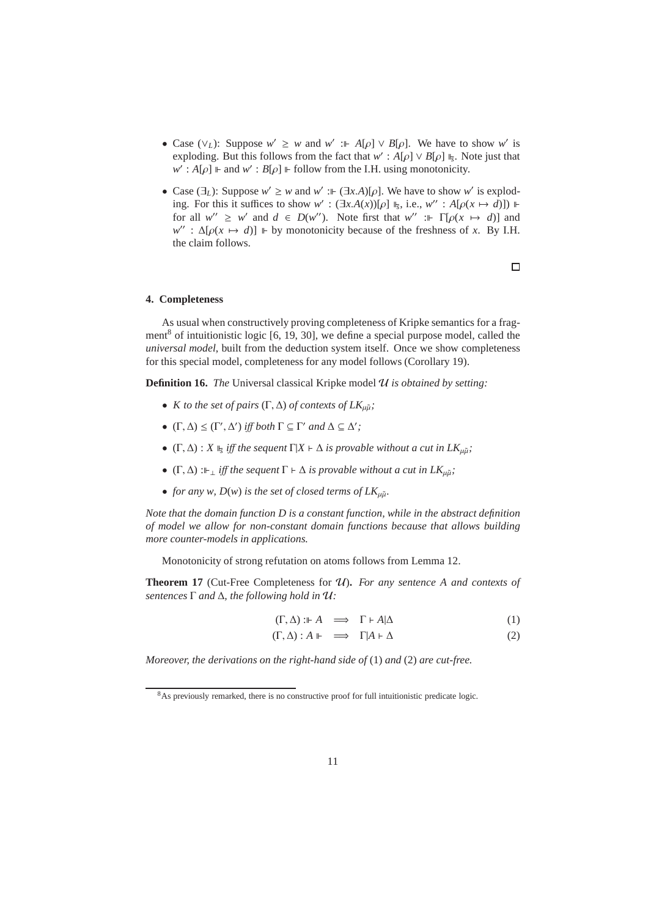- Case  $(\vee_L)$ : Suppose  $w' \geq w$  and  $w' := A[\rho] \vee B[\rho]$ . We have to show w' is exploding. But this follows from the fact that  $w' : A[\rho] \vee B[\rho] \Vdash_{\mathcal{F}}$ . Note just that  $w'$ : *A*[ $\rho$ ]  $\Vdash$  and  $w'$ : *B*[ $\rho$ ]  $\Vdash$  follow from the I.H. using monotonicity.
- Case (∃<sub>*L*</sub>): Suppose *w'* ≥ *w* and *w'* :⊩ (∃*x*.*A*)[ $ρ$ ]. We have to show *w'* is exploding. For this it suffices to show *w*' :  $(\exists x.A(x))[\rho] \Vdash_{\overline{s}}$ , i.e., *w*" : *A*[ $\rho(x \mapsto d)$ ])  $\Vdash$ for all  $w'' \geq w'$  and  $d \in D(w'')$ . Note first that  $w'' := \Gamma[\rho(x \mapsto d)]$  and  $w'$  :  $\Delta[\rho(x \mapsto d)]$  ⊩ by monotonicity because of the freshness of *x*. By I.H. the claim follows.

## $\Box$

## **4. Completeness**

As usual when constructively proving completeness of Kripke semantics for a fragment<sup>8</sup> of intuitionistic logic  $[6, 19, 30]$ , we define a special purpose model, called the *universal model*, built from the deduction system itself. Once we show completeness for this special model, completeness for any model follows (Corollary 19).

**Definition 16.** *The* Universal classical Kripke model  $U$  *is obtained by setting:* 

- *K to the set of pairs*  $(\Gamma, \Delta)$  *of contexts of*  $LK_{\mu\tilde{\mu}}$ *;*
- $(\Gamma, \Delta) \leq (\Gamma', \Delta')$  *iff both*  $\Gamma \subseteq \Gamma'$  *and*  $\Delta \subseteq \Delta'$ ;
- $(\Gamma, \Delta) : X \Vdash_{\mathfrak{s}} iff$  *the sequent*  $\Gamma | X \vdash \Delta$  *is provable without a cut in*  $LK_{\mu\tilde{\mu}}$ *;*
- $(\Gamma, \Delta)$ : ⊩  $\perp$  *iff the sequent*  $\Gamma \vdash \Delta$  *is provable without a cut in LK*<sub>µ $\tilde{\mu}$ </sub>;
- *for any w, D(w) is the set of closed terms of*  $LK_{\mu\tilde{\mu}}$ *.*

*Note that the domain function D is a constant function, while in the abstract definition of model we allow for non-constant domain functions because that allows building more counter-models in applications.*

Monotonicity of strong refutation on atoms follows from Lemma 12.

**Theorem 17** (Cut-Free Completeness for U)**.** *For any sentence A and contexts of sentences* Γ *and* ∆*, the following hold in* U*:*

$$
(\Gamma, \Delta) : \Vdash A \implies \Gamma \vdash A | \Delta \tag{1}
$$

$$
(\Gamma, \Delta) : A \Vdash \implies \Gamma | A \vdash \Delta \tag{2}
$$

*Moreover, the derivations on the right-hand side of* (1) *and* (2) *are cut-free.*

<sup>&</sup>lt;sup>8</sup>As previously remarked, there is no constructive proof for full intuitionistic predicate logic.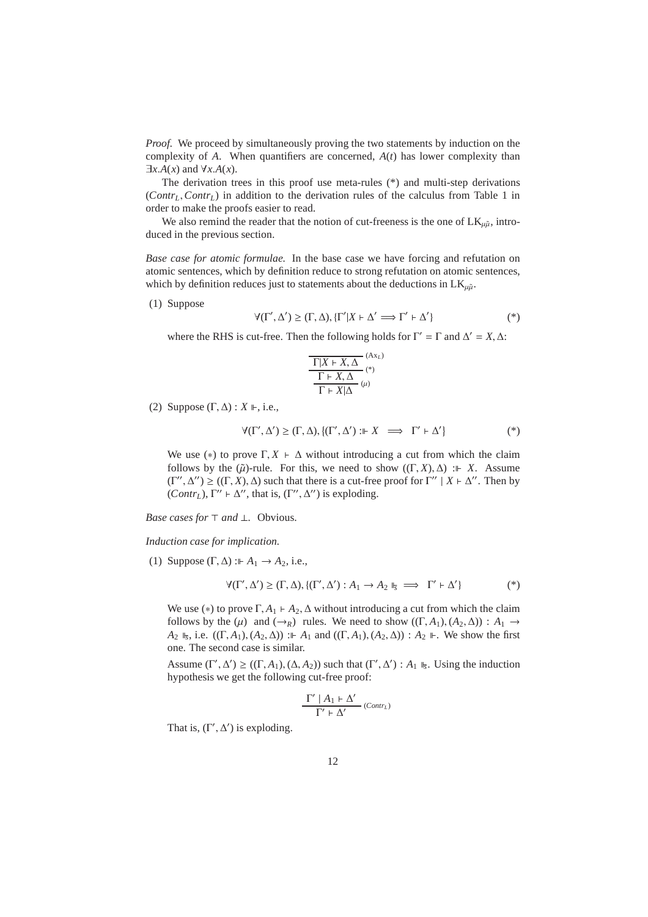*Proof.* We proceed by simultaneously proving the two statements by induction on the complexity of *A*. When quantifiers are concerned, *A*(*t*) has lower complexity than  $\exists x.A(x)$  and  $\forall x.A(x)$ .

The derivation trees in this proof use meta-rules (\*) and multi-step derivations (*ContrL*,*ContrL*) in addition to the derivation rules of the calculus from Table 1 in order to make the proofs easier to read.

We also remind the reader that the notion of cut-freeness is the one of  $LK_{\mu\tilde{\mu}}$ , introduced in the previous section.

*Base case for atomic formulae.* In the base case we have forcing and refutation on atomic sentences, which by definition reduce to strong refutation on atomic sentences, which by definition reduces just to statements about the deductions in  $LK_{\mu\tilde{\mu}}$ .

(1) Suppose

$$
\forall (\Gamma', \Delta') \ge (\Gamma, \Delta), \{\Gamma'|X \vdash \Delta' \Longrightarrow \Gamma' \vdash \Delta'\}\tag{*}
$$

where the RHS is cut-free. Then the following holds for  $\Gamma' = \Gamma$  and  $\Delta' = X, \Delta$ :

$$
\frac{\Gamma|X \vdash X, \Delta}{\Gamma \vdash X, \Delta} \xrightarrow{(\mathbf{A}X_L)}{\Gamma \vdash X | \Delta} \xrightarrow{(\mathbf{A})} \mu
$$

(2) Suppose  $(\Gamma, \Delta) : X \Vdash$ , i.e.,

$$
\forall (\Gamma', \Delta') \ge (\Gamma, \Delta), \{ (\Gamma', \Delta') : \Vdash X \implies \Gamma' \vdash \Delta' \}
$$
 (\*)

We use (\*) to prove  $\Gamma, X \vdash \Delta$  without introducing a cut from which the claim follows by the  $(\tilde{\mu})$ -rule. For this, we need to show  $((\Gamma, X), \Delta) := X$ . Assume  $(Γ'', Δ'') ≥ ((Γ, X), Δ)$  such that there is a cut-free proof for Γ'' |  $X \vdash Δ''$ . Then by (*Contr<sub>L</sub>*),  $\Gamma'' \vdash \Delta''$ , that is, ( $\Gamma''$ ,  $\Delta''$ ) is exploding.

*Base cases for* ⊤ *and* ⊥*.* Obvious.

*Induction case for implication.*

(1) Suppose  $(\Gamma, \Delta) : A_1 \to A_2$ , i.e.,

$$
\forall (\Gamma', \Delta') \geq (\Gamma, \Delta), \{ (\Gamma', \Delta') : A_1 \to A_2 \Vdash_{\overline{s}} \implies \Gamma' \vdash \Delta' \} \tag{*}
$$

We use (\*) to prove  $\Gamma$ ,  $A_1$  ⊢  $A_2$ ,  $\Delta$  without introducing a cut from which the claim follows by the  $(\mu)$  and  $(\rightarrow_R)$  rules. We need to show  $((\Gamma, A_1), (A_2, \Delta)) : A_1 \rightarrow$ *A*<sub>2</sub>  $\mathbb{I}_5$ , i.e. ((Γ, *A*<sub>1</sub>), (*A*<sub>2</sub>, Δ)) : *A*<sub>1</sub> and ((Γ, *A*<sub>1</sub>), (*A*<sub>2</sub>, Δ)) : *A*<sub>2</sub>  $\mathbb{I}$ . We show the first one. The second case is similar.

Assume  $(\Gamma', \Delta') \ge ((\Gamma, A_1), (\Delta, A_2))$  such that  $(\Gamma', \Delta') : A_1 \Vdash_{\overline{S}}$ . Using the induction hypothesis we get the following cut-free proof:

$$
\frac{\Gamma'\mid A_1\vdash\Delta'}{\Gamma'\vdash\Delta'}\text{ (Contr_L)}
$$

That is,  $(\Gamma', \Delta')$  is exploding.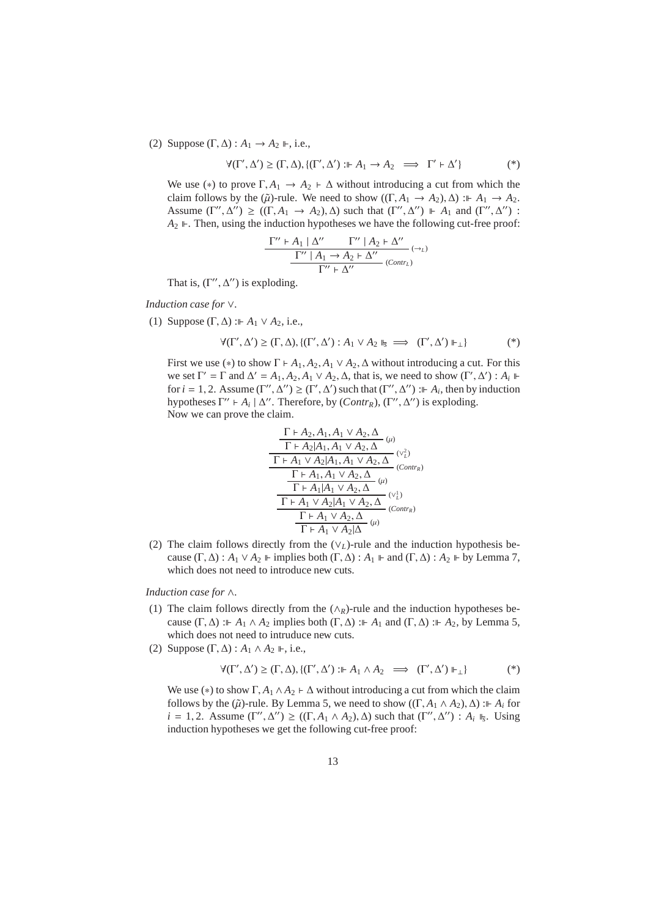(2) Suppose  $(\Gamma, \Delta) : A_1 \rightarrow A_2 \Vdash$ , i.e.,

$$
\forall (\Gamma', \Delta') \ge (\Gamma, \Delta), \{ (\Gamma', \Delta') : \Vdash A_1 \to A_2 \implies \Gamma' \vdash \Delta' \}
$$
 (\*)

We use (\*) to prove  $\Gamma$ ,  $A_1 \rightarrow A_2 \rightarrow \Delta$  without introducing a cut from which the claim follows by the  $(\tilde{\mu})$ -rule. We need to show  $((\Gamma, A_1 \rightarrow A_2), \Delta) : A_1 \rightarrow A_2$ . Assume  $(\Gamma'', \Delta'') \ge ((\Gamma, A_1 \to A_2), \Delta)$  such that  $(\Gamma'', \Delta'') \Vdash A_1$  and  $(\Gamma'', \Delta'')$ :  $A_2 \nightharpoonup$ . Then, using the induction hypotheses we have the following cut-free proof:

$$
\frac{\Gamma'' \vdash A_1 \mid \Delta'' \qquad \Gamma'' \mid A_2 \vdash \Delta''}{\Gamma'' \mid A_1 \to A_2 \vdash \Delta''} \xrightarrow{(\to_L)}
$$
  

$$
\Gamma'' \vdash \Delta''
$$
 (Contr<sub>L</sub>)

That is,  $(\Gamma'', \Delta'')$  is exploding.

*Induction case for* ∨*.*

(1) Suppose  $(\Gamma, \Delta)$  :  $\vdash A_1 \lor A_2$ , i.e.,

$$
\forall (\Gamma', \Delta') \ge (\Gamma, \Delta), \{ (\Gamma', \Delta') : A_1 \vee A_2 \Vdash_{\mathbb{S}} \implies (\Gamma', \Delta') \Vdash_{\perp} \} \tag{*}
$$

First we use (\*) to show  $\Gamma \vdash A_1, A_2, A_1 \lor A_2, \Delta$  without introducing a cut. For this we set  $\Gamma' = \Gamma$  and  $\Delta' = A_1, A_2, A_1 \vee A_2, \Delta$ , that is, we need to show  $(\Gamma', \Delta') : A_i \Vdash$ for  $i = 1, 2$ . Assume  $(\Gamma'', \Delta'') \ge (\Gamma', \Delta')$  such that  $(\Gamma'', \Delta'')$  :  $\vdash A_i$ , then by induction hypotheses  $\Gamma'' \vdash A_i \mid \Delta''$ . Therefore, by (*Contr<sub>R</sub>*), ( $\Gamma''$ ,  $\Delta''$ ) is exploding. Now we can prove the claim.

$$
\frac{\frac{\Gamma \vdash A_2, A_1, A_1 \lor A_2, \Delta}{\Gamma \vdash A_2 | A_1, A_1 \lor A_2, \Delta} \omega}{\frac{\Gamma \vdash A_1 \lor A_2 | A_1, A_1 \lor A_2, \Delta}{\Gamma \vdash A_1, A_1 \lor A_2, \Delta} \omega}
$$
\n
$$
\frac{\frac{\Gamma \vdash A_1, A_1 \lor A_2, \Delta}{\Gamma \vdash A_1 | A_1 \lor A_2, \Delta} \omega}{\frac{\Gamma \vdash A_1 \lor A_2 | A_1 \lor A_2, \Delta}{\Gamma \vdash A_1 \lor A_2, \Delta} \omega}
$$
\n
$$
\frac{\Gamma \vdash A_1 \lor A_2 | \Delta}{\Gamma \vdash A_1 \lor A_2 | \Delta} \omega
$$

(2) The claim follows directly from the (∨*L*)-rule and the induction hypothesis because  $(\Gamma, \Delta) : A_1 \vee A_2 \Vdash$  implies both  $(\Gamma, \Delta) : A_1 \Vdash$  and  $(\Gamma, \Delta) : A_2 \Vdash$  by Lemma 7, which does not need to introduce new cuts.

*Induction case for* ∧*.*

- (1) The claim follows directly from the (∧*R*)-rule and the induction hypotheses because  $(\Gamma, \Delta)$ : *A*<sub>1</sub>  $\wedge$  *A*<sub>2</sub> implies both  $(\Gamma, \Delta)$ : *A*<sub>1</sub> and  $(\Gamma, \Delta)$ : *A*<sub>2</sub>, by Lemma 5, which does not need to intruduce new cuts.
- (2) Suppose  $(\Gamma, \Delta) : A_1 \wedge A_2 \Vdash$ , i.e.,

$$
\forall (\Gamma', \Delta') \ge (\Gamma, \Delta), \{ (\Gamma', \Delta') : \Vdash A_1 \wedge A_2 \implies (\Gamma', \Delta') \Vdash_{\perp} \}
$$
(\*)

We use (\*) to show  $\Gamma$ ,  $A_1 \wedge A_2 \vdash \Delta$  without introducing a cut from which the claim follows by the  $(\tilde{\mu})$ -rule. By Lemma 5, we need to show  $((\Gamma, A_1 \wedge A_2), \Delta)$ :  $\vdash A_i$  for  $i = 1, 2$ . Assume  $(\Gamma'', \Delta'') \ge ((\Gamma, A_1 \wedge A_2), \Delta)$  such that  $(\Gamma'', \Delta'') : A_i \Vdash_{\mathcal{F}}$ . Using induction hypotheses we get the following cut-free proof: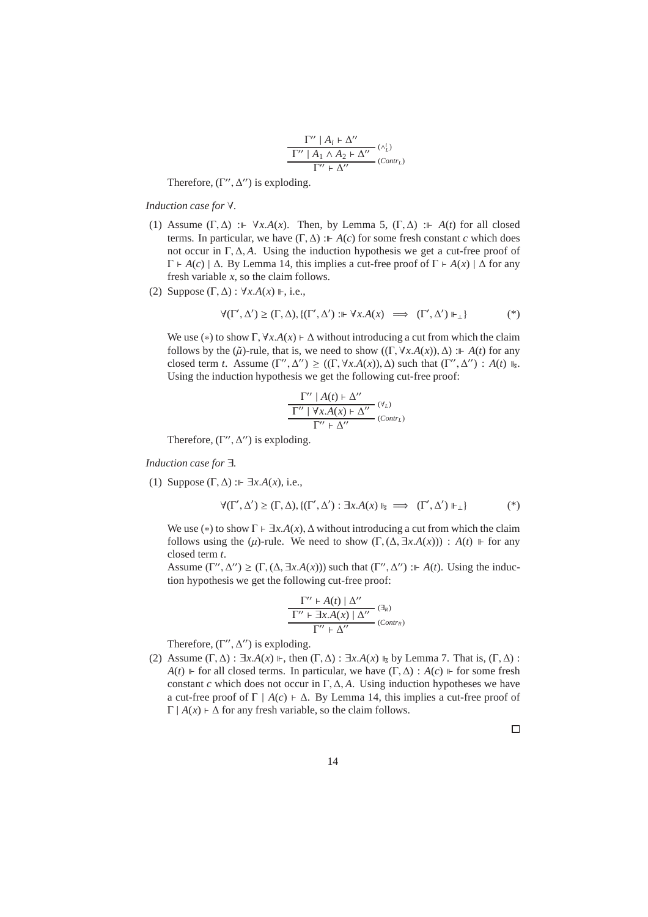$$
\frac{\Gamma^{\prime\prime}\mid A_i\vdash\Delta^{\prime\prime}}{\Gamma^{\prime\prime}\mid A_1\land A_2\vdash\Delta^{\prime\prime}}\xrightarrow{( \wedge^i_L )\atop{\Gamma^{\prime\prime}}\vdash\Delta^{\prime\prime}} (Contr_L)
$$

Therefore,  $(\Gamma'', \Delta'')$  is exploding.

### *Induction case for* ∀*.*

- (1) Assume  $(\Gamma, \Delta)$  :  $\vdash \forall x.A(x)$ . Then, by Lemma 5,  $(\Gamma, \Delta)$  :  $\vdash A(t)$  for all closed terms. In particular, we have  $(\Gamma, \Delta)$  :  $\vdash A(c)$  for some fresh constant *c* which does not occur in Γ, ∆, *A*. Using the induction hypothesis we get a cut-free proof of Γ ⊢ *A*(*c*) | ∆. By Lemma 14, this implies a cut-free proof of Γ ⊢ *A*(*x*) | ∆ for any fresh variable *x*, so the claim follows.
- (2) Suppose  $(\Gamma, \Delta)$ :  $\forall x.A(x) \Vdash$ , i.e.,

$$
\forall (\Gamma', \Delta') \ge (\Gamma, \Delta), \{ (\Gamma', \Delta') : \Vdash \forall x. A(x) \implies (\Gamma', \Delta') \Vdash_{\perp} \} \tag{*}
$$

We use (\*) to show  $\Gamma$ ,  $\forall x.A(x) \vdash \Delta$  without introducing a cut from which the claim follows by the  $(\tilde{\mu})$ -rule, that is, we need to show  $((\Gamma, \forall x.A(x)), \Delta)$  :  $A(t)$  for any closed term *t*. Assume  $(\Gamma'', \Delta'') \ge ((\Gamma, \forall x.A(x)), \Delta)$  such that  $(\Gamma'', \Delta'') : A(t) \Vdash_{\overline{s}}$ . Using the induction hypothesis we get the following cut-free proof:

$$
\frac{\Gamma'' \mid A(t) \vdash \Delta''}{\Gamma'' \mid \forall x.A(x) \vdash \Delta''} \xrightarrow{(V_L)} (\text{Contr}_L)
$$
  

$$
\Gamma'' \vdash \Delta''
$$

Therefore,  $(\Gamma'', \Delta'')$  is exploding.

*Induction case for* ∃*.*

(1) Suppose  $(\Gamma, \Delta)$  :  $\vdash \exists x.A(x)$ , i.e.,

$$
\forall (\Gamma', \Delta') \geq (\Gamma, \Delta), \{ (\Gamma', \Delta') : \exists x. A(x) \Vdash_{\mathfrak{F}} \implies (\Gamma', \Delta') \Vdash_{\perp} \} \tag{*}
$$

We use (\*) to show  $\Gamma \vdash \exists x.A(x), \Delta$  without introducing a cut from which the claim follows using the  $(\mu)$ -rule. We need to show  $(\Gamma, (\Delta, \exists x.A(x))) : A(t) \Vdash$  for any closed term *t*.

Assume  $(\Gamma'', \Delta'') \geq (\Gamma, (\Delta, \exists x.A(x)))$  such that  $(\Gamma'', \Delta'') : A(t)$ . Using the induction hypothesis we get the following cut-free proof:

$$
\frac{\Gamma'' \vdash A(t) \mid \Delta''}{\Gamma'' \vdash \exists x . A(x) \mid \Delta''} \stackrel{(\exists_R)}{\longrightarrow} \\ (Contr_R)
$$

Therefore,  $(\Gamma'', \Delta'')$  is exploding.

(2) Assume (Γ, Δ) :  $\exists x.A(x) \Vdash$ , then (Γ, Δ) :  $\exists x.A(x) \Vdash_{\overline{s}}$  by Lemma 7. That is, (Γ, Δ) : *A*(*t*) ⊩ for all closed terms. In particular, we have  $(Γ, Δ) : A(c)$  ⊩ for some fresh constant *c* which does not occur in  $\Gamma$ ,  $\Delta$ , *A*. Using induction hypotheses we have a cut-free proof of  $\Gamma \mid A(c) \vdash \Delta$ . By Lemma 14, this implies a cut-free proof of  $\Gamma | A(x) \vdash \Delta$  for any fresh variable, so the claim follows.

 $\Box$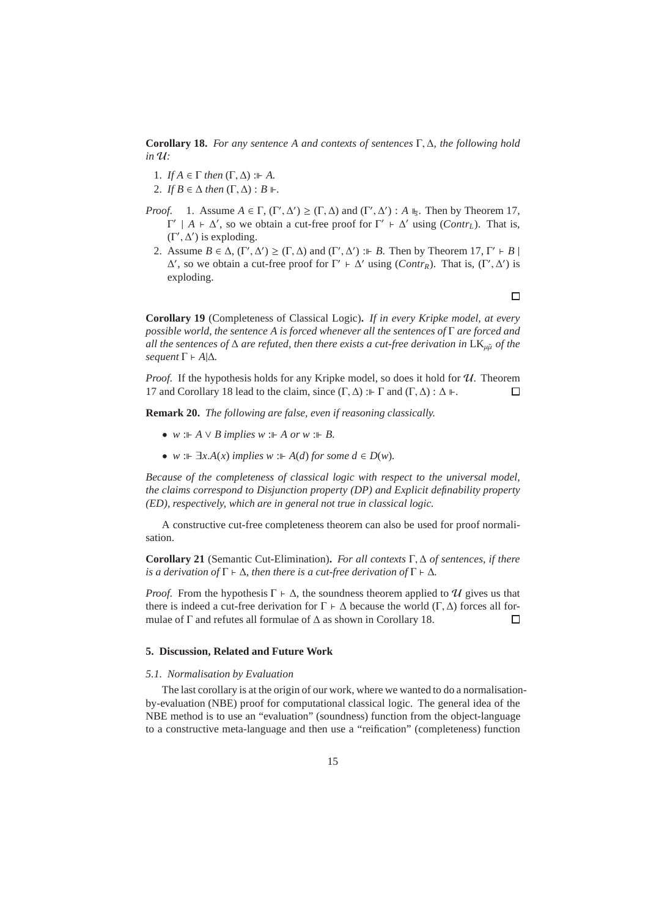**Corollary 18.** *For any sentence A and contexts of sentences* Γ, ∆*, the following hold*  $in \mathcal{U}$ :

- 1. *If*  $A \in \Gamma$  *then*  $(\Gamma, \Delta)$  :  $\vdash A$ .
- 2. *If*  $B \in \Delta$  *then*  $(\Gamma, \Delta) : B \Vdash$ .
- *Proof.* 1. Assume  $A \in \Gamma$ ,  $(\Gamma', \Delta') \geq (\Gamma, \Delta)$  and  $(\Gamma', \Delta') : A \Vdash_{\mathcal{F}}$ . Then by Theorem 17,  $Γ' | A ⊢ Δ'$ , so we obtain a cut-free proof for  $Γ' ⊢ Δ'$  using (*Contr<sub>L</sub>*). That is,  $(\Gamma', \Delta')$  is exploding.
	- 2. Assume  $B \in \Delta$ ,  $(\Gamma', \Delta') \geq (\Gamma, \Delta)$  and  $(\Gamma', \Delta') := B$ . Then by Theorem 17,  $\Gamma' \vdash B$  $\Delta'$ , so we obtain a cut-free proof for Γ'  $\vdash$   $\Delta'$  using (*Contr<sub>R</sub>*). That is, (Γ',  $\Delta'$ ) is exploding.

 $\Box$ 

**Corollary 19** (Completeness of Classical Logic)**.** *If in every Kripke model, at every possible world, the sentence A is forced whenever all the sentences of* Γ *are forced and all the sentences of*  $\Delta$  *are refuted, then there exists a cut-free derivation in* LK<sub>µ $\tilde{\mu}$  *of the*</sub> *sequent*  $\Gamma$  ⊢ *A*| $\Delta$ *.* 

*Proof.* If the hypothesis holds for any Kripke model, so does it hold for  $U$ . Theorem 17 and Corollary 18 lead to the claim, since  $(Γ, Δ)$  :  $\vdash$  Γ and  $(Γ, Δ)$  : Δ  $\vdash$ .  $\Box$ 

**Remark 20.** *The following are false, even if reasoning classically.*

- $w : \vdash A \lor B$  *implies*  $w : \vdash A$  *or*  $w : \vdash B$ .
- *w* :  $\mathbb{F}$   $\exists x.A(x)$  *implies*  $w : \mathbb{F}$  *A*(*d*) *for some d*  $\in$  *D*(*w*)*.*

*Because of the completeness of classical logic with respect to the universal model, the claims correspond to Disjunction property (DP) and Explicit definability property (ED), respectively, which are in general not true in classical logic.*

A constructive cut-free completeness theorem can also be used for proof normalisation.

**Corollary 21** (Semantic Cut-Elimination)**.** *For all contexts* Γ, ∆ *of sentences, if there is a derivation of*  $\Gamma \vdash \Delta$ *, then there is a cut-free derivation of*  $\Gamma \vdash \Delta$ *.* 

*Proof.* From the hypothesis  $\Gamma \vdash \Delta$ , the soundness theorem applied to U gives us that there is indeed a cut-free derivation for  $\Gamma \vdash \Delta$  because the world  $(\Gamma, \Delta)$  forces all formulae of Γ and refutes all formulae of ∆ as shown in Corollary 18.  $\Box$ 

## **5. Discussion, Related and Future Work**

## *5.1. Normalisation by Evaluation*

The last corollary is at the origin of our work, where we wanted to do a normalisationby-evaluation (NBE) proof for computational classical logic. The general idea of the NBE method is to use an "evaluation" (soundness) function from the object-language to a constructive meta-language and then use a "reification" (completeness) function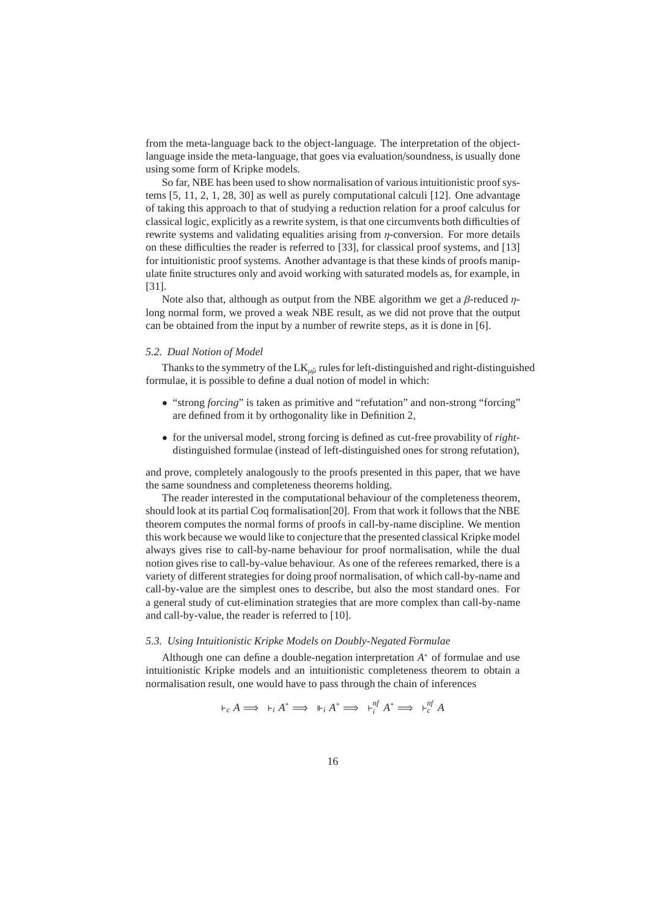from the meta-language back to the object-language. The interpretation of the objectlanguage inside the meta-language, that goes via evaluation/soundness, is usually done using some form of Kripke models.

So far, NBE has been used to show normalisation of various intuitionistic proof systems [5, 11, 2, 1, 28, 30] as well as purely computational calculi [12]. One advantage of taking this approach to that of studying a reduction relation for a proof calculus for classical logic, explicitly as a rewrite system, is that one circumvents both difficulties of rewrite systems and validating equalities arising from  $\eta$ -conversion. For more details on these difficulties the reader is referred to [33], for classical proof systems, and [13] for intuitionistic proof systems. Another advantage is that these kinds of proofs manipulate finite structures only and avoid working with saturated models as, for example, in [31].

Note also that, although as output from the NBE algorithm we get a  $\beta$ -reduced  $\eta$ long normal form, we proved a weak NBE result, as we did not prove that the output can be obtained from the input by a number of rewrite steps, as it is done in [6].

## *5.2. Dual Notion of Model*

Thanks to the symmetry of the  $LK_{\mu\tilde{\mu}}$  rules for left-distinguished and right-distinguished formulae, it is possible to define a dual notion of model in which:

- "strong *forcing*" is taken as primitive and "refutation" and non-strong "forcing" are defined from it by orthogonality like in Definition 2,
- for the universal model, strong forcing is defined as cut-free provability of *right*distinguished formulae (instead of left-distinguished ones for strong refutation),

and prove, completely analogously to the proofs presented in this paper, that we have the same soundness and completeness theorems holding.

The reader interested in the computational behaviour of the completeness theorem, should look at its partial Coq formalisation[20]. From that work it follows that the NBE theorem computes the normal forms of proofs in call-by-name discipline. We mention this work because we would like to conjecture that the presented classical Kripke model always gives rise to call-by-name behaviour for proof normalisation, while the dual notion gives rise to call-by-value behaviour. As one of the referees remarked, there is a variety of different strategies for doing proof normalisation, of which call-by-name and call-by-value are the simplest ones to describe, but also the most standard ones. For a general study of cut-elimination strategies that are more complex than call-by-name and call-by-value, the reader is referred to [10].

## *5.3. Using Intuitionistic Kripke Models on Doubly-Negated Formulae*

Although one can define a double-negation interpretation *A* <sup>∗</sup> of formulae and use intuitionistic Kripke models and an intuitionistic completeness theorem to obtain a normalisation result, one would have to pass through the chain of inferences

$$
\vdash_c A \Longrightarrow \vdash_i A^* \Longrightarrow \vdash_i A^* \Longrightarrow \vdash_i^{\eta f} A^* \Longrightarrow \vdash_i^{\eta f} A
$$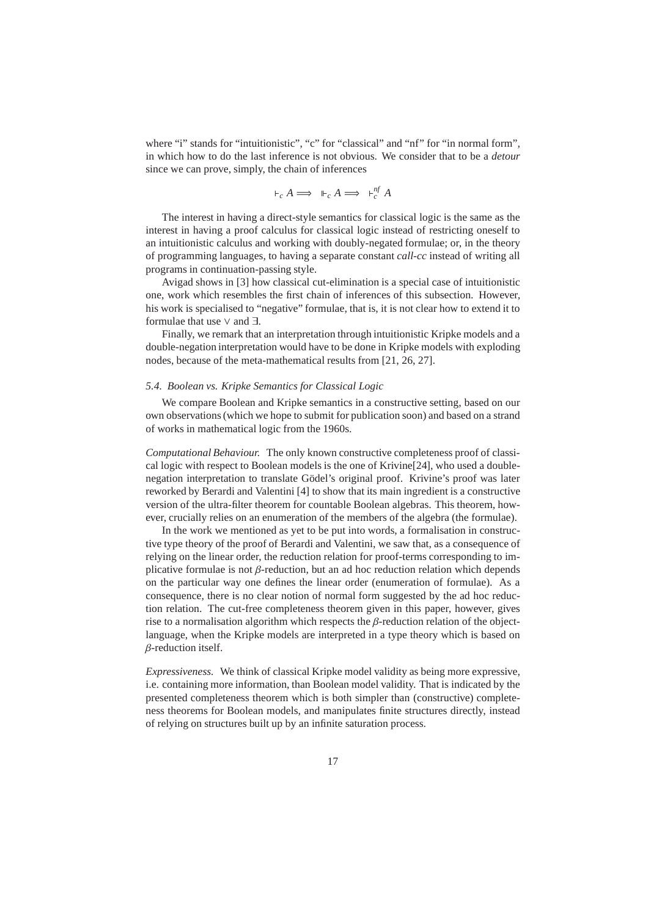where "i" stands for "intuitionistic", "c" for "classical" and "nf" for "in normal form", in which how to do the last inference is not obvious. We consider that to be a *detour* since we can prove, simply, the chain of inferences

$$
\vdash_c A \Longrightarrow \vdash_c A \Longrightarrow \vdash_c^{nf} A
$$

The interest in having a direct-style semantics for classical logic is the same as the interest in having a proof calculus for classical logic instead of restricting oneself to an intuitionistic calculus and working with doubly-negated formulae; or, in the theory of programming languages, to having a separate constant *call-cc* instead of writing all programs in continuation-passing style.

Avigad shows in [3] how classical cut-elimination is a special case of intuitionistic one, work which resembles the first chain of inferences of this subsection. However, his work is specialised to "negative" formulae, that is, it is not clear how to extend it to formulae that use ∨ and ∃.

Finally, we remark that an interpretation through intuitionistic Kripke models and a double-negation interpretation would have to be done in Kripke models with exploding nodes, because of the meta-mathematical results from [21, 26, 27].

## *5.4. Boolean vs. Kripke Semantics for Classical Logic*

We compare Boolean and Kripke semantics in a constructive setting, based on our own observations (which we hope to submit for publication soon) and based on a strand of works in mathematical logic from the 1960s.

*Computational Behaviour.* The only known constructive completeness proof of classical logic with respect to Boolean models is the one of Krivine[24], who used a doublenegation interpretation to translate Gödel's original proof. Krivine's proof was later reworked by Berardi and Valentini [4] to show that its main ingredient is a constructive version of the ultra-filter theorem for countable Boolean algebras. This theorem, however, crucially relies on an enumeration of the members of the algebra (the formulae).

In the work we mentioned as yet to be put into words, a formalisation in constructive type theory of the proof of Berardi and Valentini, we saw that, as a consequence of relying on the linear order, the reduction relation for proof-terms corresponding to implicative formulae is not  $\beta$ -reduction, but an ad hoc reduction relation which depends on the particular way one defines the linear order (enumeration of formulae). As a consequence, there is no clear notion of normal form suggested by the ad hoc reduction relation. The cut-free completeness theorem given in this paper, however, gives rise to a normalisation algorithm which respects the  $\beta$ -reduction relation of the objectlanguage, when the Kripke models are interpreted in a type theory which is based on β-reduction itself.

*Expressiveness.* We think of classical Kripke model validity as being more expressive, i.e. containing more information, than Boolean model validity. That is indicated by the presented completeness theorem which is both simpler than (constructive) completeness theorems for Boolean models, and manipulates finite structures directly, instead of relying on structures built up by an infinite saturation process.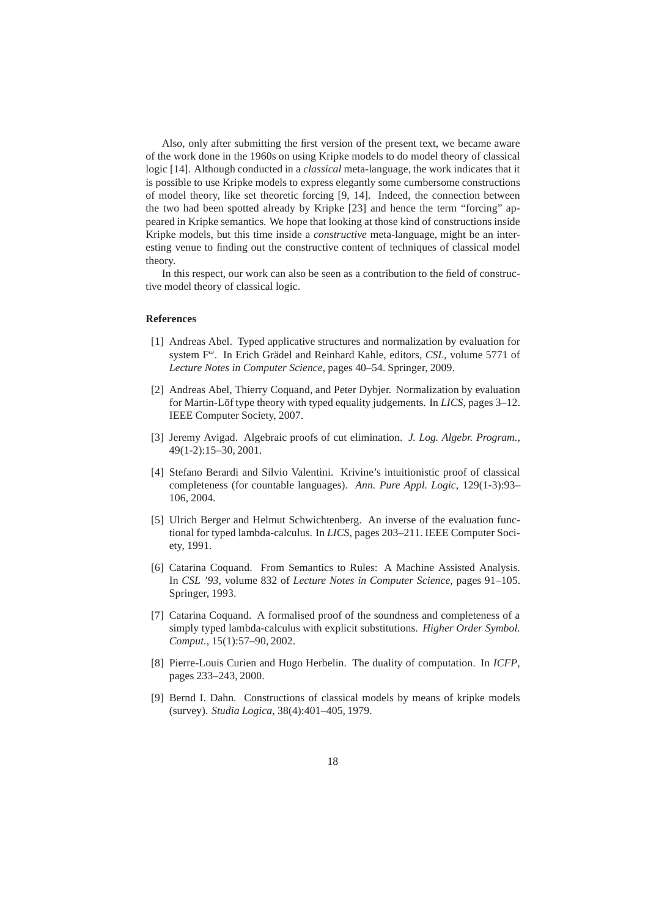Also, only after submitting the first version of the present text, we became aware of the work done in the 1960s on using Kripke models to do model theory of classical logic [14]. Although conducted in a *classical* meta-language, the work indicates that it is possible to use Kripke models to express elegantly some cumbersome constructions of model theory, like set theoretic forcing [9, 14]. Indeed, the connection between the two had been spotted already by Kripke [23] and hence the term "forcing" appeared in Kripke semantics. We hope that looking at those kind of constructions inside Kripke models, but this time inside a *constructive* meta-language, might be an interesting venue to finding out the constructive content of techniques of classical model theory.

In this respect, our work can also be seen as a contribution to the field of constructive model theory of classical logic.

## **References**

- [1] Andreas Abel. Typed applicative structures and normalization by evaluation for system F<sup>ω</sup>. In Erich Grädel and Reinhard Kahle, editors, *CSL*, volume 5771 of *Lecture Notes in Computer Science*, pages 40–54. Springer, 2009.
- [2] Andreas Abel, Thierry Coquand, and Peter Dybjer. Normalization by evaluation for Martin-Löf type theory with typed equality judgements. In *LICS*, pages 3–12. IEEE Computer Society, 2007.
- [3] Jeremy Avigad. Algebraic proofs of cut elimination. *J. Log. Algebr. Program.*, 49(1-2):15–30, 2001.
- [4] Stefano Berardi and Silvio Valentini. Krivine's intuitionistic proof of classical completeness (for countable languages). *Ann. Pure Appl. Logic*, 129(1-3):93– 106, 2004.
- [5] Ulrich Berger and Helmut Schwichtenberg. An inverse of the evaluation functional for typed lambda-calculus. In *LICS*, pages 203–211. IEEE Computer Society, 1991.
- [6] Catarina Coquand. From Semantics to Rules: A Machine Assisted Analysis. In *CSL '93*, volume 832 of *Lecture Notes in Computer Science*, pages 91–105. Springer, 1993.
- [7] Catarina Coquand. A formalised proof of the soundness and completeness of a simply typed lambda-calculus with explicit substitutions. *Higher Order Symbol. Comput.*, 15(1):57–90, 2002.
- [8] Pierre-Louis Curien and Hugo Herbelin. The duality of computation. In *ICFP*, pages 233–243, 2000.
- [9] Bernd I. Dahn. Constructions of classical models by means of kripke models (survey). *Studia Logica*, 38(4):401–405, 1979.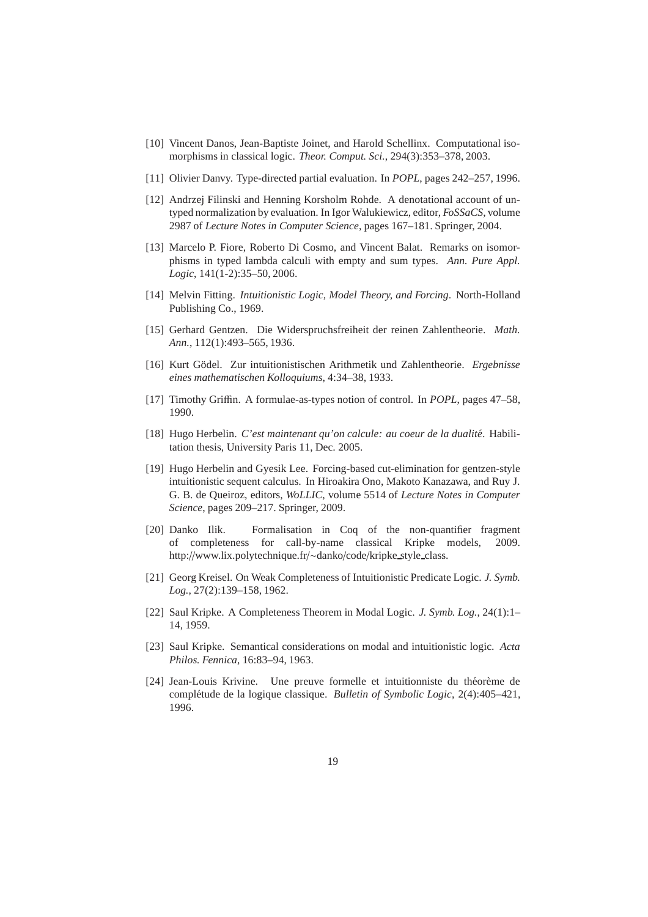- [10] Vincent Danos, Jean-Baptiste Joinet, and Harold Schellinx. Computational isomorphisms in classical logic. *Theor. Comput. Sci.*, 294(3):353–378, 2003.
- [11] Olivier Danvy. Type-directed partial evaluation. In *POPL*, pages 242–257, 1996.
- [12] Andrzej Filinski and Henning Korsholm Rohde. A denotational account of untyped normalization by evaluation. In Igor Walukiewicz, editor, *FoSSaCS*, volume 2987 of *Lecture Notes in Computer Science*, pages 167–181. Springer, 2004.
- [13] Marcelo P. Fiore, Roberto Di Cosmo, and Vincent Balat. Remarks on isomorphisms in typed lambda calculi with empty and sum types. *Ann. Pure Appl. Logic*, 141(1-2):35–50, 2006.
- [14] Melvin Fitting. *Intuitionistic Logic, Model Theory, and Forcing*. North-Holland Publishing Co., 1969.
- [15] Gerhard Gentzen. Die Widerspruchsfreiheit der reinen Zahlentheorie. *Math. Ann.*, 112(1):493–565, 1936.
- [16] Kurt Gödel. Zur intuitionistischen Arithmetik und Zahlentheorie. *Ergebnisse eines mathematischen Kolloquiums*, 4:34–38, 1933.
- [17] Timothy Griffin. A formulae-as-types notion of control. In *POPL*, pages 47–58, 1990.
- [18] Hugo Herbelin. C'est maintenant qu'on calcule: au coeur de la dualité. Habilitation thesis, University Paris 11, Dec. 2005.
- [19] Hugo Herbelin and Gyesik Lee. Forcing-based cut-elimination for gentzen-style intuitionistic sequent calculus. In Hiroakira Ono, Makoto Kanazawa, and Ruy J. G. B. de Queiroz, editors, *WoLLIC*, volume 5514 of *Lecture Notes in Computer Science*, pages 209–217. Springer, 2009.
- [20] Danko Ilik. Formalisation in Coq of the non-quantifier fragment of completeness for call-by-name classical Kripke models, 2009. http://www.lix.polytechnique.fr/∼danko/code/kripke style class.
- [21] Georg Kreisel. On Weak Completeness of Intuitionistic Predicate Logic. *J. Symb. Log.*, 27(2):139–158, 1962.
- [22] Saul Kripke. A Completeness Theorem in Modal Logic. *J. Symb. Log.*, 24(1):1– 14, 1959.
- [23] Saul Kripke. Semantical considerations on modal and intuitionistic logic. *Acta Philos. Fennica*, 16:83–94, 1963.
- [24] Jean-Louis Krivine. Une preuve formelle et intuitionniste du théorème de complétude de la logique classique. *Bulletin of Symbolic Logic*, 2(4):405–421, 1996.